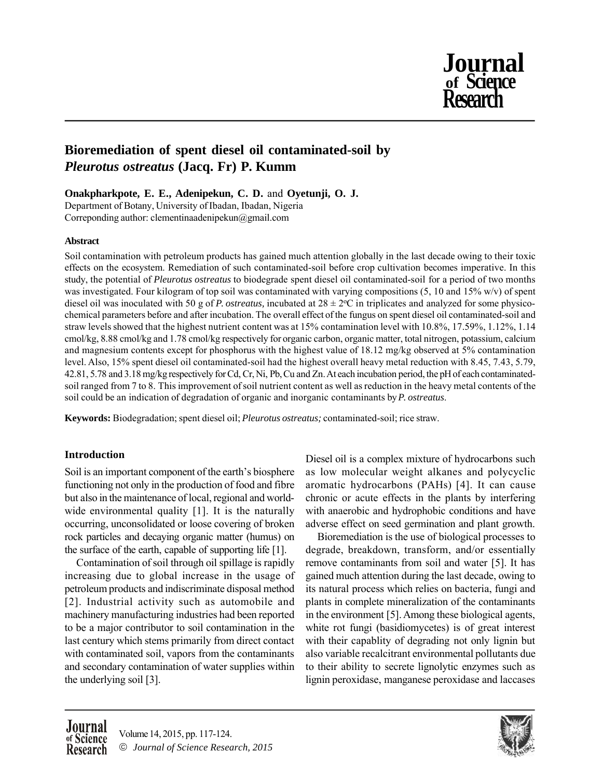

# **Bioremediation of spent diesel oil contaminated-soil by** *Pleurotus ostreatus* **(Jacq. Fr) P. Kumm**

**Onakpharkpote, E. E., Adenipekun, C. D.** and **Oyetunji, O. J.**

Department of Botany, University of Ibadan, Ibadan, Nigeria Correponding author: clementinaadenipekun@gmail.com

# **Abstract**

Soil contamination with petroleum products has gained much attention globally in the last decade owing to their toxic effects on the ecosystem. Remediation of such contaminated-soil before crop cultivation becomes imperative. In this study, the potential of *Pleurotus ostreatus* to biodegrade spent diesel oil contaminated-soil for a period of two months was investigated. Four kilogram of top soil was contaminated with varying compositions (5, 10 and 15% w/v) of spent diesel oil was inoculated with 50 g of *P. ostreatus*, incubated at  $28 \pm 2$ °C in triplicates and analyzed for some physicochemical parameters before and after incubation. The overall effect of the fungus on spent diesel oil contaminated-soil and straw levels showed that the highest nutrient content was at 15% contamination level with 10.8%, 17.59%, 1.12%, 1.14 cmol/kg, 8.88 cmol/kg and 1.78 cmol/kg respectively for organic carbon, organic matter, total nitrogen, potassium, calcium and magnesium contents except for phosphorus with the highest value of 18.12 mg/kg observed at 5% contamination level. Also, 15% spent diesel oil contaminated-soil had the highest overall heavy metal reduction with 8.45, 7.43, 5.79, 42.81, 5.78 and 3.18 mg/kg respectively for Cd, Cr, Ni, Pb, Cu and Zn. At each incubation period, the pH of each contaminatedsoil ranged from 7 to 8. This improvement of soil nutrient content as well as reduction in the heavy metal contents of the soil could be an indication of degradation of organic and inorganic contaminants by *P. ostreatus*.

**Keywords:** Biodegradation; spent diesel oil; *Pleurotus ostreatus;* contaminated-soil; rice straw.

# **Introduction**

Soil is an important component of the earth's biosphere functioning not only in the production of food and fibre but also in the maintenance of local, regional and worldwide environmental quality [1]. It is the naturally occurring, unconsolidated or loose covering of broken rock particles and decaying organic matter (humus) on the surface of the earth, capable of supporting life [1].

Contamination of soil through oil spillage is rapidly increasing due to global increase in the usage of petroleum products and indiscriminate disposal method [2]. Industrial activity such as automobile and machinery manufacturing industries had been reported to be a major contributor to soil contamination in the last century which stems primarily from direct contact with contaminated soil, vapors from the contaminants and secondary contamination of water supplies within the underlying soil [3].

Diesel oil is a complex mixture of hydrocarbons such as low molecular weight alkanes and polycyclic aromatic hydrocarbons (PAHs) [4]. It can cause chronic or acute effects in the plants by interfering with anaerobic and hydrophobic conditions and have adverse effect on seed germination and plant growth.

Bioremediation is the use of biological processes to degrade, breakdown, transform, and/or essentially remove contaminants from soil and water [5]. It has gained much attention during the last decade, owing to its natural process which relies on bacteria, fungi and plants in complete mineralization of the contaminants in the environment [5]. Among these biological agents, white rot fungi (basidiomycetes) is of great interest with their capablity of degrading not only lignin but also variable recalcitrant environmental pollutants due to their ability to secrete lignolytic enzymes such as lignin peroxidase, manganese peroxidase and laccases



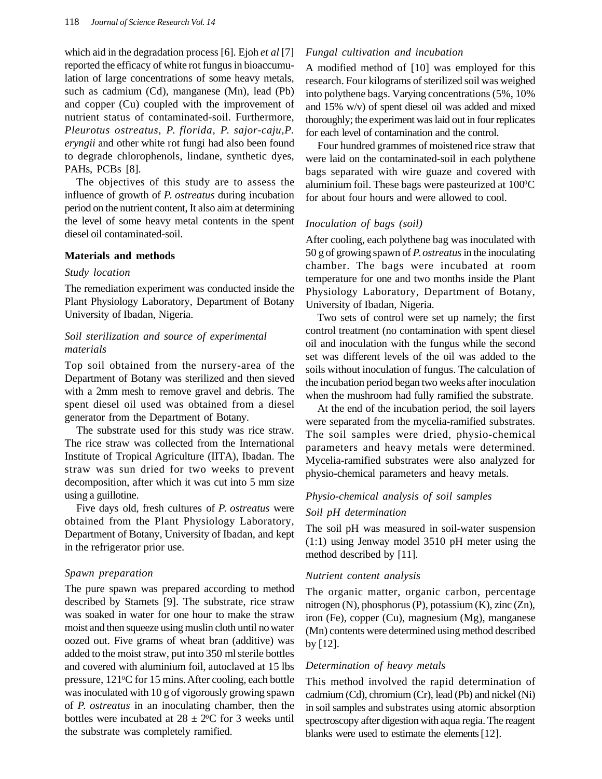which aid in the degradation process [6]. Ejoh *et al* [7] reported the efficacy of white rot fungus in bioaccumulation of large concentrations of some heavy metals, such as cadmium (Cd), manganese (Mn), lead (Pb) and copper (Cu) coupled with the improvement of nutrient status of contaminated-soil. Furthermore, *Pleurotus ostreatus, P. florida, P. sajor-caju,P. eryngii* and other white rot fungi had also been found to degrade chlorophenols, lindane, synthetic dyes, PAHs, PCBs [8].

The objectives of this study are to assess the influence of growth of *P. ostreatus* during incubation period on the nutrient content, It also aim at determining the level of some heavy metal contents in the spent diesel oil contaminated-soil.

# **Materials and methods**

### *Study location*

The remediation experiment was conducted inside the Plant Physiology Laboratory, Department of Botany University of Ibadan, Nigeria.

# *Soil sterilization and source of experimental materials*

Top soil obtained from the nursery-area of the Department of Botany was sterilized and then sieved with a 2mm mesh to remove gravel and debris. The spent diesel oil used was obtained from a diesel generator from the Department of Botany.

The substrate used for this study was rice straw. The rice straw was collected from the International Institute of Tropical Agriculture (IITA), Ibadan. The straw was sun dried for two weeks to prevent decomposition, after which it was cut into 5 mm size using a guillotine.

Five days old, fresh cultures of *P. ostreatus* were obtained from the Plant Physiology Laboratory, Department of Botany, University of Ibadan, and kept in the refrigerator prior use.

### *Spawn preparation*

The pure spawn was prepared according to method described by Stamets [9]. The substrate, rice straw was soaked in water for one hour to make the straw moist and then squeeze using muslin cloth until no water oozed out. Five grams of wheat bran (additive) was added to the moist straw, put into 350 ml sterile bottles and covered with aluminium foil, autoclaved at 15 lbs pressure,  $121\textdegree$ C for 15 mins. After cooling, each bottle was inoculated with 10 g of vigorously growing spawn of *P. ostreatus* in an inoculating chamber, then the bottles were incubated at  $28 \pm 2^{\circ}\text{C}$  for 3 weeks until the substrate was completely ramified.

### *Fungal cultivation and incubation*

A modified method of [10] was employed for this research. Four kilograms of sterilized soil was weighed into polythene bags. Varying concentrations (5%, 10% and 15% w/v) of spent diesel oil was added and mixed thoroughly; the experiment was laid out in four replicates for each level of contamination and the control.

Four hundred grammes of moistened rice straw that were laid on the contaminated-soil in each polythene bags separated with wire guaze and covered with aluminium foil. These bags were pasteurized at  $100^{\circ}$ C for about four hours and were allowed to cool.

## *Inoculation of bags (soil)*

After cooling, each polythene bag was inoculated with 50 g of growing spawn of *P. ostreatus*in the inoculating chamber. The bags were incubated at room temperature for one and two months inside the Plant Physiology Laboratory, Department of Botany, University of Ibadan, Nigeria.

Two sets of control were set up namely; the first control treatment (no contamination with spent diesel oil and inoculation with the fungus while the second set was different levels of the oil was added to the soils without inoculation of fungus. The calculation of the incubation period began two weeks after inoculation when the mushroom had fully ramified the substrate.

At the end of the incubation period, the soil layers were separated from the mycelia-ramified substrates. The soil samples were dried, physio-chemical parameters and heavy metals were determined. Mycelia-ramified substrates were also analyzed for physio-chemical parameters and heavy metals.

# *Physio-chemical analysis of soil samples Soil pH determination*

The soil pH was measured in soil-water suspension (1:1) using Jenway model 3510 pH meter using the method described by [11].

### *Nutrient content analysis*

The organic matter, organic carbon, percentage nitrogen (N), phosphorus (P), potassium (K), zinc (Zn), iron (Fe), copper (Cu), magnesium (Mg), manganese (Mn) contents were determined using method described by [12].

# *Determination of heavy metals*

This method involved the rapid determination of cadmium (Cd), chromium (Cr), lead (Pb) and nickel (Ni) in soil samples and substrates using atomic absorption spectroscopy after digestion with aqua regia. The reagent blanks were used to estimate the elements[12].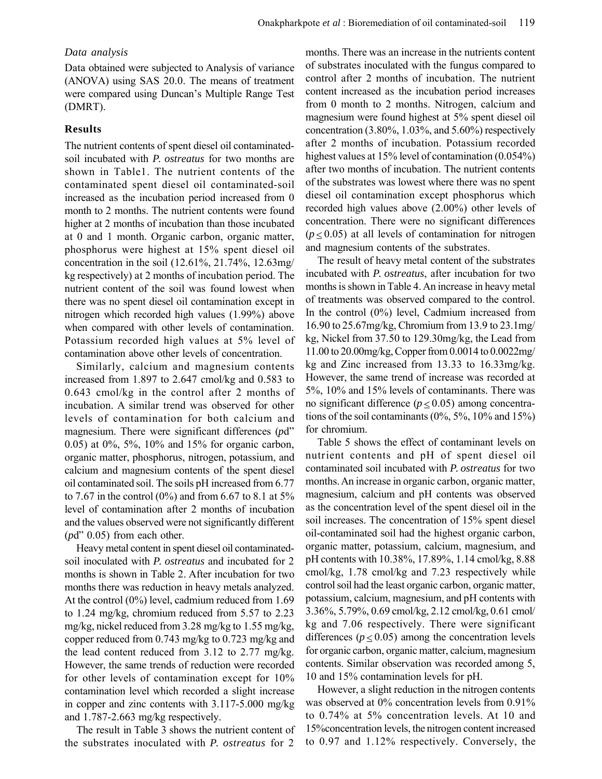### *Data analysis*

Data obtained were subjected to Analysis of variance (ANOVA) using SAS 20.0. The means of treatment were compared using Duncan's Multiple Range Test (DMRT).

## **Results**

The nutrient contents of spent diesel oil contaminatedsoil incubated with *P. ostreatus* for two months are shown in Table1. The nutrient contents of the contaminated spent diesel oil contaminated-soil increased as the incubation period increased from 0 month to 2 months. The nutrient contents were found higher at 2 months of incubation than those incubated at 0 and 1 month. Organic carbon, organic matter, phosphorus were highest at 15% spent diesel oil concentration in the soil (12.61%, 21.74%, 12.63mg/ kg respectively) at 2 months of incubation period. The nutrient content of the soil was found lowest when there was no spent diesel oil contamination except in nitrogen which recorded high values (1.99%) above when compared with other levels of contamination. Potassium recorded high values at 5% level of contamination above other levels of concentration.

Similarly, calcium and magnesium contents increased from 1.897 to 2.647 cmol/kg and 0.583 to 0.643 cmol/kg in the control after 2 months of incubation. A similar trend was observed for other levels of contamination for both calcium and magnesium. There were significant differences (*p*d" 0.05) at 0%, 5%, 10% and 15% for organic carbon, organic matter, phosphorus, nitrogen, potassium, and calcium and magnesium contents of the spent diesel oil contaminated soil. The soils pH increased from 6.77 to 7.67 in the control  $(0\%)$  and from 6.67 to 8.1 at 5% level of contamination after 2 months of incubation and the values observed were not significantly different (*p*d" 0.05) from each other.

Heavy metal content in spent diesel oil contaminatedsoil inoculated with *P. ostreatus* and incubated for 2 months is shown in Table 2. After incubation for two months there was reduction in heavy metals analyzed. At the control (0%) level, cadmium reduced from 1.69 to 1.24 mg/kg, chromium reduced from 5.57 to 2.23 mg/kg, nickel reduced from 3.28 mg/kg to 1.55 mg/kg, copper reduced from 0.743 mg/kg to 0.723 mg/kg and the lead content reduced from 3.12 to 2.77 mg/kg. However, the same trends of reduction were recorded for other levels of contamination except for 10% contamination level which recorded a slight increase in copper and zinc contents with 3.117-5.000 mg/kg and 1.787-2.663 mg/kg respectively.

The result in Table 3 shows the nutrient content of the substrates inoculated with *P. ostreatus* for 2

months. There was an increase in the nutrients content of substrates inoculated with the fungus compared to control after 2 months of incubation. The nutrient content increased as the incubation period increases from 0 month to 2 months. Nitrogen, calcium and magnesium were found highest at 5% spent diesel oil concentration (3.80%, 1.03%, and 5.60%) respectively after 2 months of incubation. Potassium recorded highest values at 15% level of contamination (0.054%) after two months of incubation. The nutrient contents of the substrates was lowest where there was no spent diesel oil contamination except phosphorus which recorded high values above (2.00%) other levels of concentration. There were no significant differences  $(p \le 0.05)$  at all levels of contamination for nitrogen and magnesium contents of the substrates.

The result of heavy metal content of the substrates incubated with *P. ostreatus*, after incubation for two months is shown in Table 4. An increase in heavy metal of treatments was observed compared to the control. In the control (0%) level, Cadmium increased from 16.90 to 25.67mg/kg, Chromium from 13.9 to 23.1mg/ kg, Nickel from 37.50 to 129.30mg/kg, the Lead from 11.00 to 20.00mg/kg, Copper from 0.0014 to 0.0022mg/ kg and Zinc increased from 13.33 to 16.33mg/kg. However, the same trend of increase was recorded at 5%, 10% and 15% levels of contaminants. There was no significant difference ( $p \le 0.05$ ) among concentrations of the soil contaminants  $(0\%, 5\%, 10\% \text{ and } 15\%)$ for chromium.

Table 5 shows the effect of contaminant levels on nutrient contents and pH of spent diesel oil contaminated soil incubated with *P. ostreatus* for two months. An increase in organic carbon, organic matter, magnesium, calcium and pH contents was observed as the concentration level of the spent diesel oil in the soil increases. The concentration of 15% spent diesel oil-contaminated soil had the highest organic carbon, organic matter, potassium, calcium, magnesium, and pH contents with 10.38%, 17.89%, 1.14 cmol/kg, 8.88 cmol/kg, 1.78 cmol/kg and 7.23 respectively while control soil had the least organic carbon, organic matter, potassium, calcium, magnesium, and pH contents with 3.36%, 5.79%, 0.69 cmol/kg, 2.12 cmol/kg, 0.61 cmol/ kg and 7.06 respectively. There were significant differences ( $p \le 0.05$ ) among the concentration levels for organic carbon, organic matter, calcium, magnesium contents. Similar observation was recorded among 5, 10 and 15% contamination levels for pH.

However, a slight reduction in the nitrogen contents was observed at 0% concentration levels from 0.91% to 0.74% at 5% concentration levels. At 10 and 15%concentration levels, the nitrogen content increased to 0.97 and 1.12% respectively. Conversely, the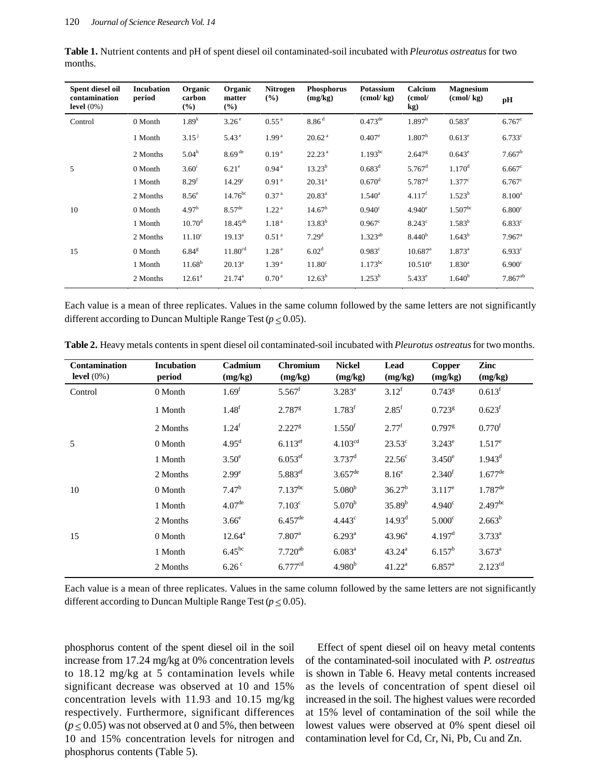| Spent diesel oil<br>contamination<br>level $(0\%)$ | <b>Incubation</b><br>period | Organic<br>carbon<br>$(\%)$ | Organic<br>matter<br>(%) | Nitrogen<br>$($ %) | <b>Phosphorus</b><br>(mg/kg) | <b>Potassium</b><br>$\frac{\text{cmol}}{\text{kg}}$ | Calcium<br>(cmol/<br>kg) | <b>Magnesium</b><br>$\frac{\text{cmol}}{\text{kg}}$ | pH                   |
|----------------------------------------------------|-----------------------------|-----------------------------|--------------------------|--------------------|------------------------------|-----------------------------------------------------|--------------------------|-----------------------------------------------------|----------------------|
| Control                                            | 0 Month                     | $1.89^{k}$                  | 3.26 <sup>e</sup>        | 0.55 <sup>a</sup>  | 8.86 <sup>d</sup>            | $0.473^{\text{de}}$                                 | $1.897^h$                | $0.583^e$                                           | $6.767$ <sup>c</sup> |
|                                                    | 1 Month                     | $3.15^{j}$                  | $5.43^{\circ}$           | 1.99 <sup>a</sup>  | 20.62 <sup>a</sup>           | $0.407^{\circ}$                                     | 1.807 <sup>h</sup>       | $0.613^e$                                           | 6.733c               |
|                                                    | 2 Months                    | 5.04 <sup>h</sup>           | $8.69$ <sup>de</sup>     | 0.19 <sup>a</sup>  | 22.23 <sup>a</sup>           | $1.193^{bc}$                                        | $2.647$ <sup>g</sup>     | $0.643^e$                                           | 7.667 <sup>b</sup>   |
| 5                                                  | 0 Month                     | $3.60^{\rm i}$              | $6.21^e$                 | 0.94 <sup>a</sup>  | $13.23^{b}$                  | $0.683^d$                                           | $5.767$ <sup>d</sup>     | $1.170$ <sup>d</sup>                                | $6.667$ <sup>c</sup> |
|                                                    | 1 Month                     | 8.29 <sup>f</sup>           | 14.29 <sup>c</sup>       | 0.91 <sup>a</sup>  | $20.31^{a}$                  | $0.670$ <sup>d</sup>                                | $5.787$ <sup>d</sup>     | $1.377$ <sup>c</sup>                                | $6.767$ <sup>c</sup> |
|                                                    | 2 Months                    | 8.56 <sup>e</sup>           | $14.76^{bc}$             | 0.37 <sup>a</sup>  | $20.83^{a}$                  | $1.540^{\circ}$                                     | 4.117 <sup>f</sup>       | $1.523^{b}$                                         | $8.100^a$            |
| 10                                                 | 0 Month                     | 4.97 <sup>h</sup>           | $8.57^{\text{de}}$       | 1.22 <sup>a</sup>  | 14.67 <sup>b</sup>           | $0.940^{\circ}$                                     | $4.940^{\circ}$          | $1.507^{bc}$                                        | 6.800 <sup>c</sup>   |
|                                                    | 1 Month                     | $10.70^{\rm d}$             | $18.45^{ab}$             | 1.18 <sup>a</sup>  | $13.83^{b}$                  | $0.967$ <sup>c</sup>                                | $8.243^{\circ}$          | $1.583^{b}$                                         | 6.833c               |
|                                                    | 2 Months                    | 11.10 <sup>c</sup>          | $19.13^{a}$              | 0.51 <sup>a</sup>  | 7.29 <sup>d</sup>            | $1.323^{ab}$                                        | 8.440 <sup>b</sup>       | $1.643^{b}$                                         | $7.967$ <sup>a</sup> |
| 15                                                 | 0 Month                     | $6.84$ <sup>g</sup>         | 11.80 <sup>cd</sup>      | 1.28 <sup>a</sup>  | 6.02 <sup>d</sup>            | $0.983$ <sup>c</sup>                                | $10.687$ <sup>a</sup>    | $1.873^{\rm a}$                                     | $6.933$ <sup>c</sup> |
|                                                    | 1 Month                     | $11.68^b$                   | $20.13^a$                | 1.39 <sup>a</sup>  | 11.80 <sup>c</sup>           | $1.173^{bc}$                                        | $10.510^a$               | $1.830^{a}$                                         | 6.900 <sup>c</sup>   |
|                                                    | 2 Months                    | $12.61^a$                   | $21.74^a$                | 0.70 <sup>a</sup>  | $12.63^{b}$                  | $1.253^b$                                           | $5.433^e$                | 1.640 <sup>b</sup>                                  | $7.867^{ab}$         |

**Table 1.** Nutrient contents and pH of spent diesel oil contaminated-soil incubated with *Pleurotus ostreatus* for two months.

Each value is a mean of three replicates. Values in the same column followed by the same letters are not significantly different according to Duncan Multiple Range Test ( $p \le 0.05$ ).

**Table 2.** Heavy metals contents in spent diesel oil contaminated-soil incubated with *Pleurotus ostreatus* for two months.

| <b>Contamination</b><br>level $(0\%)$ | <b>Incubation</b><br>period | Cadmium<br>(mg/kg) | <b>Chromium</b><br>(mg/kg) | <b>Nickel</b>         | Lead<br>(mg/kg)     | Copper               | Zinc                  |
|---------------------------------------|-----------------------------|--------------------|----------------------------|-----------------------|---------------------|----------------------|-----------------------|
|                                       |                             |                    |                            | (mg/kg)               |                     | (mg/kg)              | (mg/kg)               |
| Control                               | 0 Month                     | 1.69 <sup>f</sup>  | $5.567$ <sup>f</sup>       | $3.283^e$             | $3.12^{f}$          | $0.743^{8}$          | 0.613 <sup>f</sup>    |
|                                       | 1 Month                     | 1.48 <sup>f</sup>  | $2.787$ <sup>g</sup>       | 1.783 <sup>f</sup>    | $2.85$ <sup>f</sup> | $0.723$ <sup>g</sup> | 0.623 <sup>f</sup>    |
|                                       | 2 Months                    | $1.24^{f}$         | $2.227$ <sup>g</sup>       | 1.550 <sup>f</sup>    | $2.77^{\rm f}$      | $0.797$ <sup>g</sup> | $0.770$ <sup>f</sup>  |
| 5                                     | 0 Month                     | 4.95 <sup>d</sup>  | $6.113^{ef}$               | 4.103 <sup>cd</sup>   | $23.53^{\circ}$     | $3.243^e$            | $1.517^e$             |
|                                       | 1 Month                     | 3.50 <sup>e</sup>  | $6.053$ <sup>ef</sup>      | $3.737$ <sup>d</sup>  | $22.56^{\circ}$     | $3.450^e$            | $1.943^d$             |
|                                       | 2 Months                    | 2.99 <sup>e</sup>  | 5.883ef                    | $3.657$ <sup>de</sup> | 8.16 <sup>e</sup>   | 2.340 <sup>f</sup>   | $1.677$ <sup>de</sup> |
| 10                                    | 0 Month                     | 7.47 <sup>b</sup>  | $7.137^{bc}$               | 5.080 <sup>b</sup>    | 36.27 <sup>b</sup>  | $3.117^e$            | $1.787$ <sup>de</sup> |
|                                       | 1 Month                     | 4.07 <sup>de</sup> | $7.103^{\circ}$            | $5.070^{b}$           | $35.89^{b}$         | 4.940 <sup>c</sup>   | $2.497^{bc}$          |
|                                       | 2 Months                    | 3.66 <sup>e</sup>  | $6.457$ <sup>de</sup>      | $4.443^{\circ}$       | 14.93 <sup>d</sup>  | 5.000 <sup>c</sup>   | $2.663^b$             |
| 15                                    | 0 Month                     | $12.64^{\rm a}$    | $7.807$ <sup>a</sup>       | $6.293^{a}$           | $43.96^a$           | 4.197 <sup>d</sup>   | $3.733^{a}$           |
|                                       | 1 Month                     | $6.45^{bc}$        | $7.720^{ab}$               | $6.083^{a}$           | $43.24^{\circ}$     | $6.157^b$            | $3.673^{\circ}$       |
|                                       | 2 Months                    | 6.26 <sup>c</sup>  | $6.777$ <sup>cd</sup>      | $4.980^{b}$           | $41.22^a$           | $6.857$ <sup>a</sup> | $2.123^{cd}$          |

Each value is a mean of three replicates. Values in the same column followed by the same letters are not significantly different according to Duncan Multiple Range Test ( $p \le 0.05$ ).

phosphorus content of the spent diesel oil in the soil increase from 17.24 mg/kg at 0% concentration levels to 18.12 mg/kg at 5 contamination levels while significant decrease was observed at 10 and 15% concentration levels with 11.93 and 10.15 mg/kg respectively. Furthermore, significant differences  $(p \le 0.05)$  was not observed at 0 and 5%, then between 10 and 15% concentration levels for nitrogen and phosphorus contents (Table 5).

Effect of spent diesel oil on heavy metal contents of the contaminated-soil inoculated with *P. ostreatus* is shown in Table 6. Heavy metal contents increased as the levels of concentration of spent diesel oil increased in the soil. The highest values were recorded at 15% level of contamination of the soil while the lowest values were observed at 0% spent diesel oil contamination level for Cd, Cr, Ni, Pb, Cu and Zn.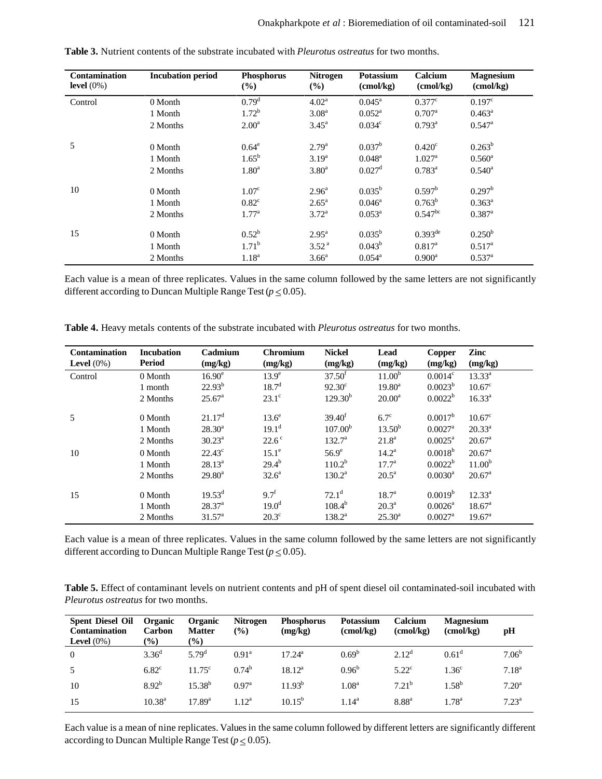| <b>Contamination</b><br>level $(0\%)$ | <b>Incubation period</b> | <b>Phosphorus</b><br>(%) | <b>Nitrogen</b><br>$(\%)$ | Potassium<br>$\text{(cmol/kg)}$ | Calcium<br>$\text{(cmol/kg)}$ | <b>Magnesium</b><br>$\text{(cmol/kg)}$ |
|---------------------------------------|--------------------------|--------------------------|---------------------------|---------------------------------|-------------------------------|----------------------------------------|
| Control                               | 0 Month                  | 0.79 <sup>d</sup>        | 4.02 <sup>a</sup>         | $0.045^{\text{a}}$              | $0.377$ <sup>c</sup>          | $0.197^{\circ}$                        |
|                                       | 1 Month                  | $1.72^b$                 | 3.08 <sup>a</sup>         | $0.052^{\rm a}$                 | $0.707$ <sup>a</sup>          | $0.463^a$                              |
|                                       | 2 Months                 | $2.00^{\rm a}$           | $3.45^{\circ}$            | 0.034 <sup>c</sup>              | $0.793^{\rm a}$               | $0.547$ <sup>a</sup>                   |
| 5                                     | 0 Month                  | $0.64^\mathrm{e}$        | $2.79^{a}$                | $0.037^{\rm b}$                 | 0.420 <sup>c</sup>            | $0.263^b$                              |
|                                       | 1 Month                  | $1.65^{b}$               | $3.19^{a}$                | $0.048^{\rm a}$                 | $1.027^{\text{a}}$            | $0.560^{\rm a}$                        |
|                                       | 2 Months                 | 1.80 <sup>a</sup>        | $3.80^{\rm a}$            | $0.027$ <sup>d</sup>            | $0.783^a$                     | $0.540^{\rm a}$                        |
| 10                                    | 0 Month                  | 1.07 <sup>c</sup>        | $2.96^{\circ}$            | $0.035^{\rm b}$                 | $0.597^{\rm b}$               | $0.297^{\rm b}$                        |
|                                       | 1 Month                  | $0.82^{\circ}$           | $2.65^{\rm a}$            | $0.046^a$                       | $0.763^b$                     | $0.363^a$                              |
|                                       | 2 Months                 | 1.77 <sup>a</sup>        | $3.72^a$                  | $0.053^a$                       | $0.547^{bc}$                  | $0.387$ <sup>a</sup>                   |
| 15                                    | 0 Month                  | $0.52^{\rm b}$           | $2.95^{\rm a}$            | $0.035^{b}$                     | $0.393^{de}$                  | 0.250 <sup>b</sup>                     |
|                                       | 1 Month                  | $1.71^{\rm b}$           | 3.52 <sup>a</sup>         | $0.043^b$                       | $0.817^{\rm a}$               | $0.517^a$                              |
|                                       | 2 Months                 | $1.18^{a}$               | 3.66 <sup>a</sup>         | $0.054^{\text{a}}$              | $0.900^{\rm a}$               | $0.537$ <sup>a</sup>                   |

**Table 3.** Nutrient contents of the substrate incubated with *Pleurotus ostreatus* for two months.

Each value is a mean of three replicates. Values in the same column followed by the same letters are not significantly different according to Duncan Multiple Range Test ( $p \le 0.05$ ).

| <b>Contamination</b> | <b>Incubation</b> | Cadmium            | <b>Chromium</b>   | <b>Nickel</b>       | Lead               | Copper                | Zinc               |
|----------------------|-------------------|--------------------|-------------------|---------------------|--------------------|-----------------------|--------------------|
| Level $(0\%)$        | <b>Period</b>     | (mg/kg)            | (mg/kg)           | (mg/kg)             | (mg/kg)            | (mg/kg)               | (mg/kg)            |
| Control              | 0 Month           | 16.90 <sup>e</sup> | $13.9^\circ$      | 37.50 <sup>f</sup>  | 11.00 <sup>b</sup> | $0.0014^{\circ}$      | $13.33^{a}$        |
|                      | 1 month           | $22.93^{b}$        | 18.7 <sup>d</sup> | $92.30^{\circ}$     | $19.80^{\rm a}$    | $0.0023^b$            | $10.67^{\circ}$    |
|                      | 2 Months          | $25.67^{\circ}$    | $23.1^\circ$      | $129.30^{b}$        | $20.00^a$          | $0.0022^b$            | $16.33^{a}$        |
| 5                    | 0 Month           | 21.17 <sup>d</sup> | $13.6^\circ$      | 39.40 <sup>f</sup>  | $6.7^\circ$        | $0.0017^b$            | $10.67^{\circ}$    |
|                      | 1 Month           | $28.30^a$          | $19.1^{\rm d}$    | 107.00 <sup>b</sup> | 13.50 <sup>b</sup> | $0.0027$ <sup>a</sup> | $20.33^a$          |
|                      | 2 Months          | $30.23^a$          | $22.6^\circ$      | $132.7^{\circ}$     | $21.8^{\rm a}$     | $0.0025^{\text{a}}$   | $20.67^{\circ}$    |
| 10                   | 0 Month           | $22.43^{\circ}$    | $15.1^\circ$      | $56.9^e$            | $14.2^{\rm a}$     | $0.0018^{b}$          | $20.67^{\circ}$    |
|                      | 1 Month           | $28.13^a$          | $29.4^{b}$        | $110.2^b$           | $17.7^{\circ}$     | $0.0022^b$            | 11.00 <sup>b</sup> |
|                      | 2 Months          | $29.80^a$          | $32.6^a$          | $130.2^{\rm a}$     | $20.5^a$           | $0.0030^{\rm a}$      | $20.67^{\text{a}}$ |
| 15                   | 0 Month           | $19.53^d$          | $9.7^{\rm f}$     | $72.1^{\rm d}$      | 18.7 <sup>a</sup>  | 0.0019 <sup>b</sup>   | $12.33^a$          |
|                      | 1 Month           | 28.37 <sup>a</sup> | $19.0^{\rm d}$    | $108.4^{b}$         | $20.3^{\rm a}$     | $0.0026^{\rm a}$      | $18.67^{\circ}$    |
|                      | 2 Months          | $31.57^{\circ}$    | $20.3^{\circ}$    | $138.2^a$           | $25.30^{\circ}$    | $0.0027$ <sup>a</sup> | $19.67^{\circ}$    |

**Table 4.** Heavy metals contents of the substrate incubated with *Pleurotus ostreatus* for two months.

Each value is a mean of three replicates. Values in the same column followed by the same letters are not significantly different according to Duncan Multiple Range Test ( $p \le 0.05$ ).

**Table 5.** Effect of contaminant levels on nutrient contents and pH of spent diesel oil contaminated-soil incubated with *Pleurotus ostreatus* for two months.

| <b>Spent Diesel Oil</b><br><b>Contamination</b><br>Level $(0\%)$ | <b>Organic</b><br><b>Carbon</b><br>$\frac{1}{2}$ | <b>Organic</b><br><b>Matter</b><br>$\left( \frac{0}{0} \right)$ | <b>Nitrogen</b><br>(%) | <b>Phosphorus</b><br>(mg/kg) | <b>Potassium</b><br>$\text{(cmol/kg)}$ | Calcium<br>$\text{(cmol/kg)}$ | <b>Magnesium</b><br>(cmol/kg) | рH                |
|------------------------------------------------------------------|--------------------------------------------------|-----------------------------------------------------------------|------------------------|------------------------------|----------------------------------------|-------------------------------|-------------------------------|-------------------|
| $\overline{0}$                                                   | $3.36^{d}$                                       | 5.79 <sup>d</sup>                                               | 0.91 <sup>a</sup>      | $17.24^{\rm a}$              | $0.69^b$                               | $2.12^d$                      | 0.61 <sup>d</sup>             | 7.06 <sup>b</sup> |
| .5                                                               | $6.82$ <sup>c</sup>                              | $11.75^{\circ}$                                                 | $0.74^b$               | $18.12^{\rm a}$              | $0.96^{\rm b}$                         | $5.22^{\circ}$                | 1.36 <sup>c</sup>             | $7.18^{a}$        |
| 10                                                               | $8.92^{b}$                                       | $15.38^{b}$                                                     | 0.97 <sup>a</sup>      | $11.93^{b}$                  | $1.08^{\rm a}$                         | $7.21^{b}$                    | $1.58^{b}$                    | $7.20^{\rm a}$    |
| 15                                                               | $10.38^{a}$                                      | $17.89^{a}$                                                     | $1.12^a$               | $10.15^{b}$                  | $1.14^a$                               | 8.88 <sup>a</sup>             | $1.78^{\rm a}$                | $7.23^{\rm a}$    |

Each value is a mean of nine replicates. Values in the same column followed by different letters are significantly different according to Duncan Multiple Range Test ( $p \le 0.05$ ).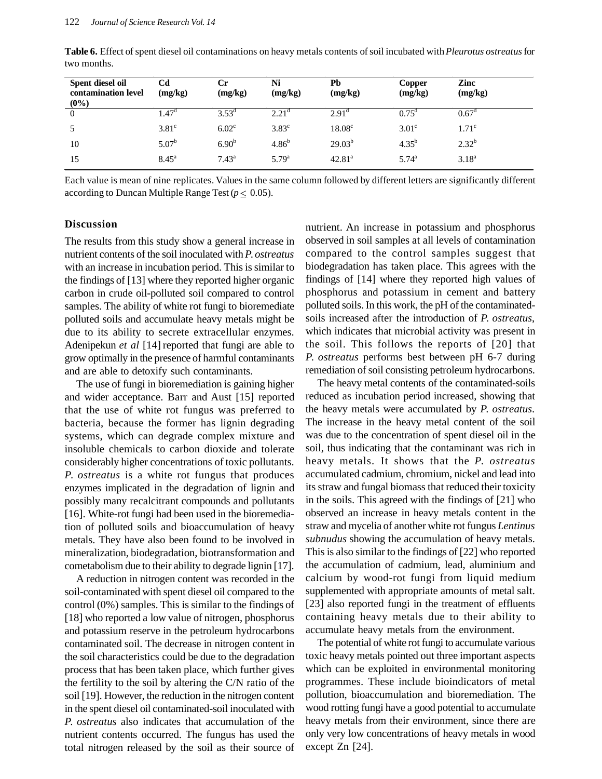| Spent diesel oil<br>contamination level<br>$(0\%)$ | Cd<br>(mg/kg)  | Сr<br>(mg/kg)     | Ni<br>(mg/kg)  | Pb<br>(mg/kg)      | Copper<br>(mg/kg) | Zinc<br>(mg/kg)   |  |
|----------------------------------------------------|----------------|-------------------|----------------|--------------------|-------------------|-------------------|--|
| $\theta$                                           | $1.47^{\circ}$ | $3.53^{\rm d}$    | $2.21^{\circ}$ | $2.91^{\circ}$     | $0.75^{\circ}$    | $0.67^{\circ}$    |  |
|                                                    | $3.81^\circ$   | 6.02 <sup>c</sup> | $3.83^{\circ}$ | 18.08 <sup>c</sup> | 3.01 <sup>c</sup> | 1.71 <sup>c</sup> |  |
| 10                                                 | $5.07^{b}$     | $6.90^{b}$        | $4.86^{b}$     | $29.03^{b}$        | $4.35^{b}$        | $2.32^{b}$        |  |
| 15                                                 | $8.45^{\rm a}$ | $7.43^{\rm a}$    | $5.79^{a}$     | $42.81^a$          | $5.74^{\rm a}$    | $3.18^{a}$        |  |

**Table 6.** Effect of spent diesel oil contaminations on heavy metals contents of soil incubated with *Pleurotus ostreatus* for two months.

Each value is mean of nine replicates. Values in the same column followed by different letters are significantly different according to Duncan Multiple Range Test ( $p \leq 0.05$ ).

### **Discussion**

The results from this study show a general increase in nutrient contents of the soil inoculated with *P. ostreatus* with an increase in incubation period. This is similar to the findings of [13] where they reported higher organic carbon in crude oil-polluted soil compared to control samples. The ability of white rot fungi to bioremediate polluted soils and accumulate heavy metals might be due to its ability to secrete extracellular enzymes. Adenipekun *et al* [14] reported that fungi are able to grow optimally in the presence of harmful contaminants and are able to detoxify such contaminants.

The use of fungi in bioremediation is gaining higher and wider acceptance. Barr and Aust [15] reported that the use of white rot fungus was preferred to bacteria, because the former has lignin degrading systems, which can degrade complex mixture and insoluble chemicals to carbon dioxide and tolerate considerably higher concentrations of toxic pollutants. *P. ostreatus* is a white rot fungus that produces enzymes implicated in the degradation of lignin and possibly many recalcitrant compounds and pollutants [16]. White-rot fungi had been used in the bioremediation of polluted soils and bioaccumulation of heavy metals. They have also been found to be involved in mineralization, biodegradation, biotransformation and cometabolism due to their ability to degrade lignin [17].

A reduction in nitrogen content was recorded in the soil-contaminated with spent diesel oil compared to the control (0%) samples. This is similar to the findings of [18] who reported a low value of nitrogen, phosphorus and potassium reserve in the petroleum hydrocarbons contaminated soil. The decrease in nitrogen content in the soil characteristics could be due to the degradation process that has been taken place, which further gives the fertility to the soil by altering the C/N ratio of the soil [19]. However, the reduction in the nitrogen content in the spent diesel oil contaminated-soil inoculated with *P. ostreatus* also indicates that accumulation of the nutrient contents occurred. The fungus has used the total nitrogen released by the soil as their source of nutrient. An increase in potassium and phosphorus observed in soil samples at all levels of contamination compared to the control samples suggest that biodegradation has taken place. This agrees with the findings of [14] where they reported high values of phosphorus and potassium in cement and battery polluted soils. In this work, the pH of the contaminatedsoils increased after the introduction of *P. ostreatus*, which indicates that microbial activity was present in the soil. This follows the reports of [20] that *P. ostreatus* performs best between pH 6-7 during remediation of soil consisting petroleum hydrocarbons.

The heavy metal contents of the contaminated-soils reduced as incubation period increased, showing that the heavy metals were accumulated by *P. ostreatus*. The increase in the heavy metal content of the soil was due to the concentration of spent diesel oil in the soil, thus indicating that the contaminant was rich in heavy metals. It shows that the *P. ostreatus* accumulated cadmium, chromium, nickel and lead into its straw and fungal biomass that reduced their toxicity in the soils. This agreed with the findings of [21] who observed an increase in heavy metals content in the straw and mycelia of another white rot fungus *Lentinus subnudus* showing the accumulation of heavy metals. This is also similar to the findings of [22] who reported the accumulation of cadmium, lead, aluminium and calcium by wood-rot fungi from liquid medium supplemented with appropriate amounts of metal salt. [23] also reported fungi in the treatment of effluents containing heavy metals due to their ability to accumulate heavy metals from the environment.

The potential of white rot fungi to accumulate various toxic heavy metals pointed out three important aspects which can be exploited in environmental monitoring programmes. These include bioindicators of metal pollution, bioaccumulation and bioremediation. The wood rotting fungi have a good potential to accumulate heavy metals from their environment, since there are only very low concentrations of heavy metals in wood except Zn [24].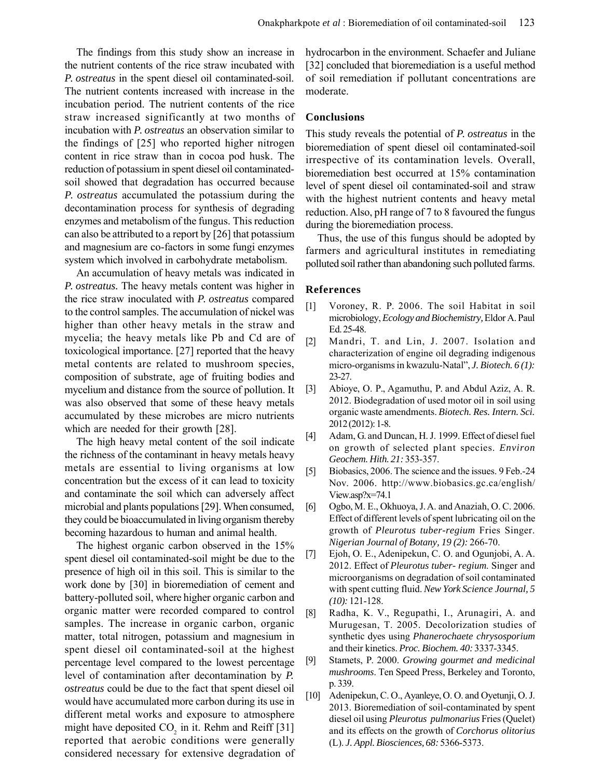The findings from this study show an increase in the nutrient contents of the rice straw incubated with *P. ostreatus* in the spent diesel oil contaminated-soil. The nutrient contents increased with increase in the incubation period. The nutrient contents of the rice straw increased significantly at two months of incubation with *P. ostreatus* an observation similar to the findings of [25] who reported higher nitrogen content in rice straw than in cocoa pod husk. The reduction of potassium in spent diesel oil contaminatedsoil showed that degradation has occurred because *P. ostreatus* accumulated the potassium during the decontamination process for synthesis of degrading enzymes and metabolism of the fungus. This reduction can also be attributed to a report by [26] that potassium and magnesium are co-factors in some fungi enzymes system which involved in carbohydrate metabolism.

An accumulation of heavy metals was indicated in *P. ostreatus.* The heavy metals content was higher in the rice straw inoculated with *P. ostreatus* compared to the control samples. The accumulation of nickel was higher than other heavy metals in the straw and mycelia; the heavy metals like Pb and Cd are of toxicological importance. [27] reported that the heavy metal contents are related to mushroom species, composition of substrate, age of fruiting bodies and mycelium and distance from the source of pollution. It was also observed that some of these heavy metals accumulated by these microbes are micro nutrients which are needed for their growth [28].

The high heavy metal content of the soil indicate the richness of the contaminant in heavy metals heavy metals are essential to living organisms at low concentration but the excess of it can lead to toxicity and contaminate the soil which can adversely affect microbial and plants populations [29]. When consumed, they could be bioaccumulated in living organism thereby becoming hazardous to human and animal health.

The highest organic carbon observed in the 15% spent diesel oil contaminated-soil might be due to the presence of high oil in this soil. This is similar to the work done by [30] in bioremediation of cement and battery-polluted soil, where higher organic carbon and organic matter were recorded compared to control samples. The increase in organic carbon, organic matter, total nitrogen, potassium and magnesium in spent diesel oil contaminated-soil at the highest percentage level compared to the lowest percentage level of contamination after decontamination by *P. ostreatus* could be due to the fact that spent diesel oil would have accumulated more carbon during its use in different metal works and exposure to atmosphere might have deposited  $CO_2$  in it. Rehm and Reiff [31] reported that aerobic conditions were generally considered necessary for extensive degradation of hydrocarbon in the environment. Schaefer and Juliane [32] concluded that bioremediation is a useful method of soil remediation if pollutant concentrations are moderate.

### **Conclusions**

This study reveals the potential of *P. ostreatus* in the bioremediation of spent diesel oil contaminated-soil irrespective of its contamination levels. Overall, bioremediation best occurred at 15% contamination level of spent diesel oil contaminated-soil and straw with the highest nutrient contents and heavy metal reduction. Also, pH range of 7 to 8 favoured the fungus during the bioremediation process.

Thus, the use of this fungus should be adopted by farmers and agricultural institutes in remediating polluted soil rather than abandoning such polluted farms.

### **References**

- [1] Voroney, R. P. 2006. The soil Habitat in soil microbiology, *Ecology and Biochemistry,*Eldor A. Paul Ed. 25-48.
- [2] Mandri, T. and Lin, J. 2007. Isolation and characterization of engine oil degrading indigenous micro-organisms in kwazulu-Natal", *J. Biotech. 6 (1):* 23-27.
- [3] Abioye, O. P., Agamuthu, P. and Abdul Aziz, A. R. 2012. Biodegradation of used motor oil in soil using organic waste amendments. *Biotech. Res. Intern. Sci.* 2012 (2012): 1-8.
- [4] Adam, G. and Duncan, H. J. 1999. Effect of diesel fuel on growth of selected plant species. *Environ Geochem. Hith. 21:* 353-357.
- [5] Biobasics, 2006. The science and the issues. 9 Feb.-24 Nov. 2006. http://www.biobasics.gc.ca/english/ View.asp?x=74.1
- [6] Ogbo, M. E., Okhuoya, J. A. and Anaziah, O. C. 2006. Effect of different levels of spent lubricating oil on the growth of *Pleurotus tuber-regium* Fries Singer. *Nigerian Journal of Botany, 19 (2):* 266-70.
- [7] Ejoh, O. E., Adenipekun, C. O. and Ogunjobi, A. A. 2012. Effect of *Pleurotus tuber- regium*. Singer and microorganisms on degradation of soil contaminated with spent cutting fluid. *New York Science Journal, 5 (10):* 121-128.
- [8] Radha, K. V., Regupathi, I., Arunagiri, A. and Murugesan, T. 2005. Decolorization studies of synthetic dyes using *Phanerochaete chrysosporium* and their kinetics. *Proc. Biochem. 40:* 3337-3345.
- [9] Stamets, P. 2000. *Growing gourmet and medicinal mushrooms*. Ten Speed Press, Berkeley and Toronto, p. 339.
- [10] Adenipekun, C. O., Ayanleye, O. O. and Oyetunji, O. J. 2013. Bioremediation of soil-contaminated by spent diesel oil using *Pleurotus pulmonarius* Fries (Quelet) and its effects on the growth of *Corchorus olitorius* (L). *J. Appl. Biosciences, 68:* 5366-5373.